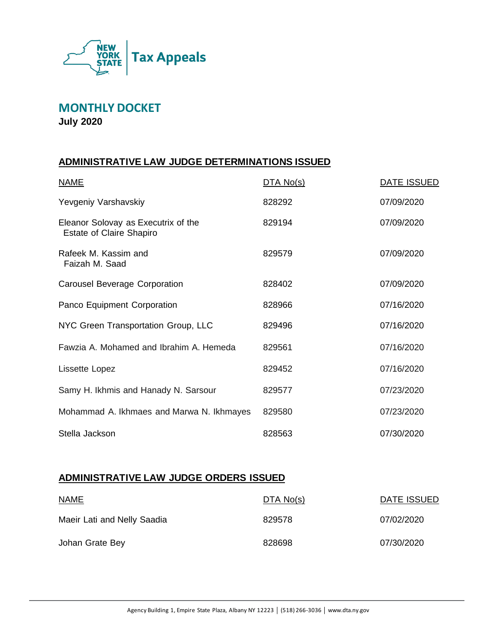

**MONTHLY DOCKET**

**July 2020**

## **ADMINISTRATIVE LAW JUDGE DETERMINATIONS ISSUED**

| <b>NAME</b>                                                            | DTA No(s) | <b>DATE ISSUED</b> |
|------------------------------------------------------------------------|-----------|--------------------|
| Yevgeniy Varshavskiy                                                   | 828292    | 07/09/2020         |
| Eleanor Solovay as Executrix of the<br><b>Estate of Claire Shapiro</b> | 829194    | 07/09/2020         |
| Rafeek M. Kassim and<br>Faizah M. Saad                                 | 829579    | 07/09/2020         |
| <b>Carousel Beverage Corporation</b>                                   | 828402    | 07/09/2020         |
| Panco Equipment Corporation                                            | 828966    | 07/16/2020         |
| NYC Green Transportation Group, LLC                                    | 829496    | 07/16/2020         |
| Fawzia A. Mohamed and Ibrahim A. Hemeda                                | 829561    | 07/16/2020         |
| Lissette Lopez                                                         | 829452    | 07/16/2020         |
| Samy H. Ikhmis and Hanady N. Sarsour                                   | 829577    | 07/23/2020         |
| Mohammad A. Ikhmaes and Marwa N. Ikhmayes                              | 829580    | 07/23/2020         |
| Stella Jackson                                                         | 828563    | 07/30/2020         |

#### **ADMINISTRATIVE LAW JUDGE ORDERS ISSUED**

| <b>NAME</b>                 | DTA No(s) | DATE ISSUED |
|-----------------------------|-----------|-------------|
| Maeir Lati and Nelly Saadia | 829578    | 07/02/2020  |
| Johan Grate Bey             | 828698    | 07/30/2020  |